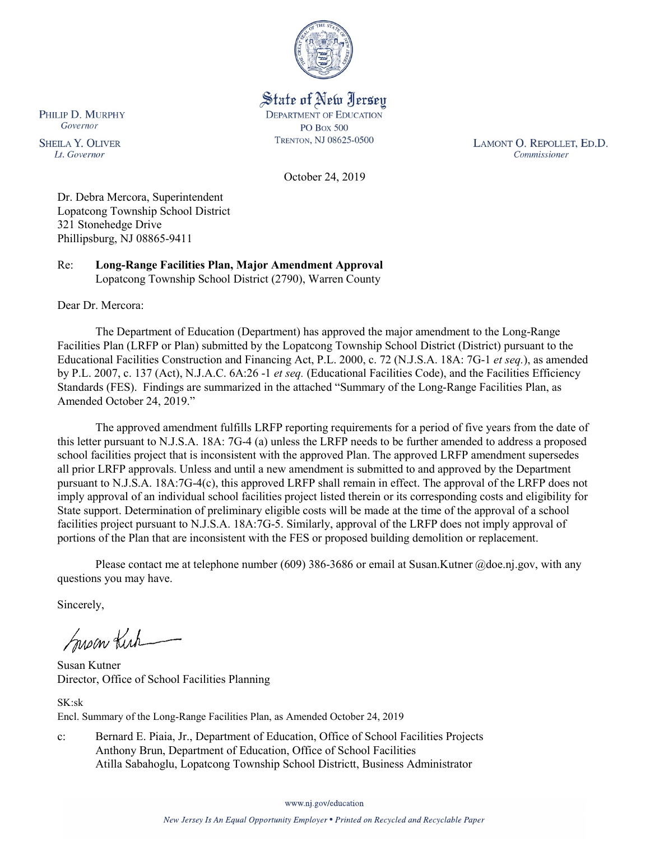

State of New Jersey **DEPARTMENT OF EDUCATION PO Box 500** TRENTON, NJ 08625-0500

LAMONT O. REPOLLET, ED.D. Commissioner

October 24, 2019

Dr. Debra Mercora, Superintendent Lopatcong Township School District 321 Stonehedge Drive Phillipsburg, NJ 08865-9411

Re: **Long-Range Facilities Plan, Major Amendment Approval** Lopatcong Township School District (2790), Warren County

Dear Dr. Mercora:

PHILIP D. MURPHY Governor

**SHEILA Y. OLIVER** 

Lt. Governor

The Department of Education (Department) has approved the major amendment to the Long-Range Facilities Plan (LRFP or Plan) submitted by the Lopatcong Township School District (District) pursuant to the Educational Facilities Construction and Financing Act, P.L. 2000, c. 72 (N.J.S.A. 18A: 7G-1 *et seq.*), as amended by P.L. 2007, c. 137 (Act), N.J.A.C. 6A:26 -1 *et seq.* (Educational Facilities Code), and the Facilities Efficiency Standards (FES). Findings are summarized in the attached "Summary of the Long-Range Facilities Plan, as Amended October 24, 2019."

The approved amendment fulfills LRFP reporting requirements for a period of five years from the date of this letter pursuant to N.J.S.A. 18A: 7G-4 (a) unless the LRFP needs to be further amended to address a proposed school facilities project that is inconsistent with the approved Plan. The approved LRFP amendment supersedes all prior LRFP approvals. Unless and until a new amendment is submitted to and approved by the Department pursuant to N.J.S.A. 18A:7G-4(c), this approved LRFP shall remain in effect. The approval of the LRFP does not imply approval of an individual school facilities project listed therein or its corresponding costs and eligibility for State support. Determination of preliminary eligible costs will be made at the time of the approval of a school facilities project pursuant to N.J.S.A. 18A:7G-5. Similarly, approval of the LRFP does not imply approval of portions of the Plan that are inconsistent with the FES or proposed building demolition or replacement.

Please contact me at telephone number (609) 386-3686 or email at Susan.Kutner @doe.nj.gov, with any questions you may have.

Sincerely,

Susan Kich

Susan Kutner Director, Office of School Facilities Planning

SK:sk Encl. Summary of the Long-Range Facilities Plan, as Amended October 24, 2019

c: Bernard E. Piaia, Jr., Department of Education, Office of School Facilities Projects Anthony Brun, Department of Education, Office of School Facilities Atilla Sabahoglu, Lopatcong Township School Districtt, Business Administrator

www.nj.gov/education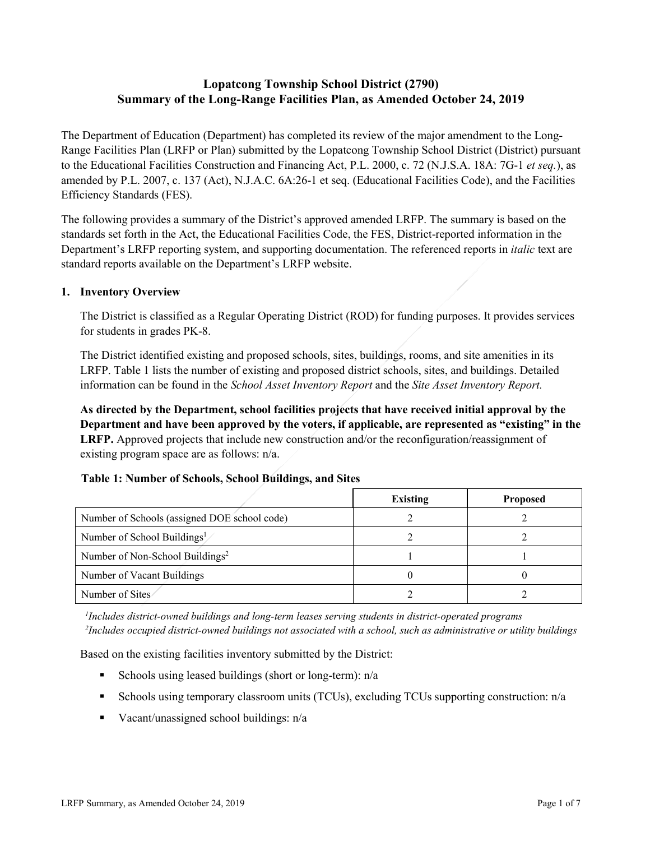# **Lopatcong Township School District (2790) Summary of the Long-Range Facilities Plan, as Amended October 24, 2019**

The Department of Education (Department) has completed its review of the major amendment to the Long-Range Facilities Plan (LRFP or Plan) submitted by the Lopatcong Township School District (District) pursuant to the Educational Facilities Construction and Financing Act, P.L. 2000, c. 72 (N.J.S.A. 18A: 7G-1 *et seq.*), as amended by P.L. 2007, c. 137 (Act), N.J.A.C. 6A:26-1 et seq. (Educational Facilities Code), and the Facilities Efficiency Standards (FES).

The following provides a summary of the District's approved amended LRFP. The summary is based on the standards set forth in the Act, the Educational Facilities Code, the FES, District-reported information in the Department's LRFP reporting system, and supporting documentation. The referenced reports in *italic* text are standard reports available on the Department's LRFP website.

#### **1. Inventory Overview**

The District is classified as a Regular Operating District (ROD) for funding purposes. It provides services for students in grades PK-8.

The District identified existing and proposed schools, sites, buildings, rooms, and site amenities in its LRFP. Table 1 lists the number of existing and proposed district schools, sites, and buildings. Detailed information can be found in the *School Asset Inventory Report* and the *Site Asset Inventory Report.* 

**As directed by the Department, school facilities projects that have received initial approval by the Department and have been approved by the voters, if applicable, are represented as "existing" in the LRFP.** Approved projects that include new construction and/or the reconfiguration/reassignment of existing program space are as follows: n/a.

|                                              | Existing | <b>Proposed</b> |  |
|----------------------------------------------|----------|-----------------|--|
| Number of Schools (assigned DOE school code) |          |                 |  |
| Number of School Buildings <sup>1</sup>      |          |                 |  |
| Number of Non-School Buildings <sup>2</sup>  |          |                 |  |
| Number of Vacant Buildings                   |          |                 |  |
| Number of Sites                              |          |                 |  |

#### **Table 1: Number of Schools, School Buildings, and Sites**

*1 Includes district-owned buildings and long-term leases serving students in district-operated programs 2 Includes occupied district-owned buildings not associated with a school, such as administrative or utility buildings*

Based on the existing facilities inventory submitted by the District:

- Schools using leased buildings (short or long-term):  $n/a$
- Schools using temporary classroom units (TCUs), excluding TCUs supporting construction: n/a
- Vacant/unassigned school buildings:  $n/a$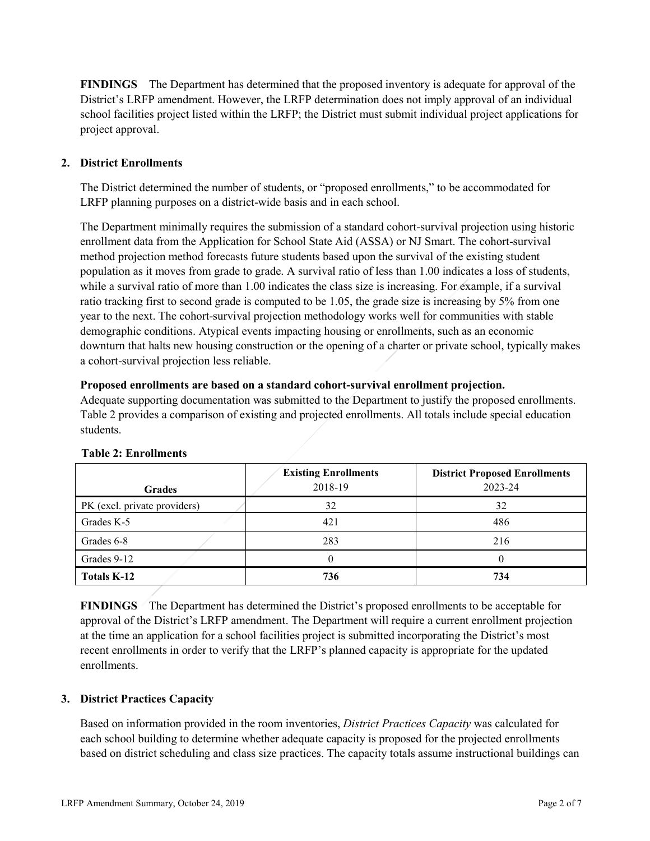**FINDINGS** The Department has determined that the proposed inventory is adequate for approval of the District's LRFP amendment. However, the LRFP determination does not imply approval of an individual school facilities project listed within the LRFP; the District must submit individual project applications for project approval.

# **2. District Enrollments**

The District determined the number of students, or "proposed enrollments," to be accommodated for LRFP planning purposes on a district-wide basis and in each school.

The Department minimally requires the submission of a standard cohort-survival projection using historic enrollment data from the Application for School State Aid (ASSA) or NJ Smart. The cohort-survival method projection method forecasts future students based upon the survival of the existing student population as it moves from grade to grade. A survival ratio of less than 1.00 indicates a loss of students, while a survival ratio of more than 1.00 indicates the class size is increasing. For example, if a survival ratio tracking first to second grade is computed to be 1.05, the grade size is increasing by 5% from one year to the next. The cohort-survival projection methodology works well for communities with stable demographic conditions. Atypical events impacting housing or enrollments, such as an economic downturn that halts new housing construction or the opening of a charter or private school, typically makes a cohort-survival projection less reliable.

#### **Proposed enrollments are based on a standard cohort-survival enrollment projection.**

Adequate supporting documentation was submitted to the Department to justify the proposed enrollments. Table 2 provides a comparison of existing and projected enrollments. All totals include special education students.

| <b>Grades</b>                | <b>Existing Enrollments</b><br>2018-19 | <b>District Proposed Enrollments</b><br>2023-24 |
|------------------------------|----------------------------------------|-------------------------------------------------|
| PK (excl. private providers) | 32                                     | 32                                              |
| Grades K-5                   | 421                                    | 486                                             |
| Grades 6-8                   | 283                                    | 216                                             |
| Grades 9-12                  | 0                                      |                                                 |
| Totals K-12                  | 736                                    | 734                                             |

# **Table 2: Enrollments**

**FINDINGS** The Department has determined the District's proposed enrollments to be acceptable for approval of the District's LRFP amendment. The Department will require a current enrollment projection at the time an application for a school facilities project is submitted incorporating the District's most recent enrollments in order to verify that the LRFP's planned capacity is appropriate for the updated enrollments.

# **3. District Practices Capacity**

Based on information provided in the room inventories, *District Practices Capacity* was calculated for each school building to determine whether adequate capacity is proposed for the projected enrollments based on district scheduling and class size practices. The capacity totals assume instructional buildings can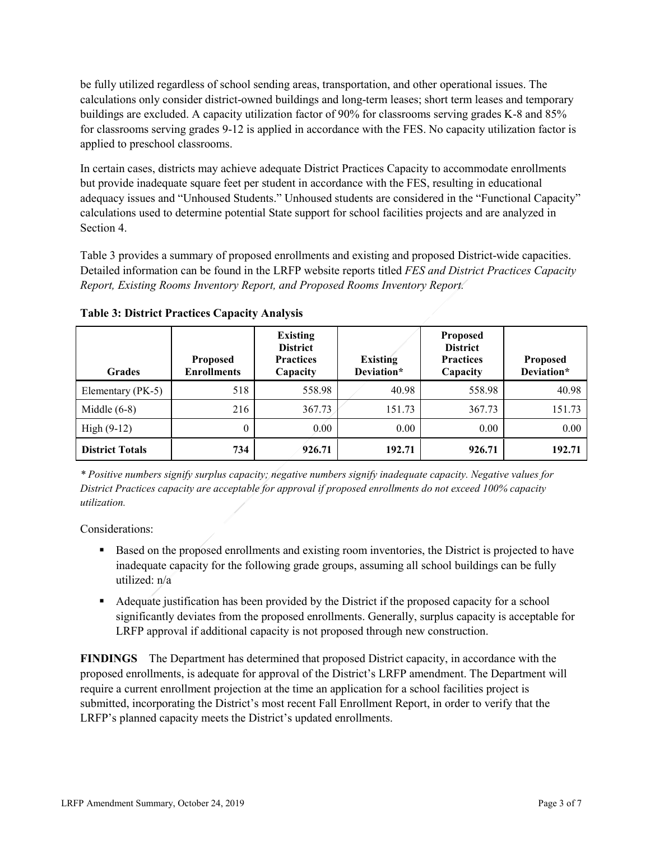be fully utilized regardless of school sending areas, transportation, and other operational issues. The calculations only consider district-owned buildings and long-term leases; short term leases and temporary buildings are excluded. A capacity utilization factor of 90% for classrooms serving grades K-8 and 85% for classrooms serving grades 9-12 is applied in accordance with the FES. No capacity utilization factor is applied to preschool classrooms.

In certain cases, districts may achieve adequate District Practices Capacity to accommodate enrollments but provide inadequate square feet per student in accordance with the FES, resulting in educational adequacy issues and "Unhoused Students." Unhoused students are considered in the "Functional Capacity" calculations used to determine potential State support for school facilities projects and are analyzed in Section 4.

Table 3 provides a summary of proposed enrollments and existing and proposed District-wide capacities. Detailed information can be found in the LRFP website reports titled *FES and District Practices Capacity Report, Existing Rooms Inventory Report, and Proposed Rooms Inventory Report.*

| <b>Grades</b>          | <b>Proposed</b><br><b>Enrollments</b> | <b>Existing</b><br><b>District</b><br><b>Practices</b><br>Capacity | <b>Existing</b><br>Deviation* | <b>Proposed</b><br><b>District</b><br><b>Practices</b><br>Capacity | <b>Proposed</b><br>Deviation* |
|------------------------|---------------------------------------|--------------------------------------------------------------------|-------------------------------|--------------------------------------------------------------------|-------------------------------|
| Elementary (PK-5)      | 518                                   | 558.98                                                             | 40.98                         | 558.98                                                             | 40.98                         |
| Middle $(6-8)$         | 216                                   | 367.73                                                             | 151.73                        | 367.73                                                             | 151.73                        |
| High $(9-12)$          | $\theta$                              | 0.00                                                               | 0.00                          | 0.00                                                               | 0.00                          |
| <b>District Totals</b> | 734                                   | 926.71                                                             | 192.71                        | 926.71                                                             | 192.71                        |

**Table 3: District Practices Capacity Analysis**

*\* Positive numbers signify surplus capacity; negative numbers signify inadequate capacity. Negative values for District Practices capacity are acceptable for approval if proposed enrollments do not exceed 100% capacity utilization.*

Considerations:

- Based on the proposed enrollments and existing room inventories, the District is projected to have inadequate capacity for the following grade groups, assuming all school buildings can be fully utilized: n/a
- Adequate justification has been provided by the District if the proposed capacity for a school significantly deviates from the proposed enrollments. Generally, surplus capacity is acceptable for LRFP approval if additional capacity is not proposed through new construction.

**FINDINGS**The Department has determined that proposed District capacity, in accordance with the proposed enrollments, is adequate for approval of the District's LRFP amendment. The Department will require a current enrollment projection at the time an application for a school facilities project is submitted, incorporating the District's most recent Fall Enrollment Report, in order to verify that the LRFP's planned capacity meets the District's updated enrollments.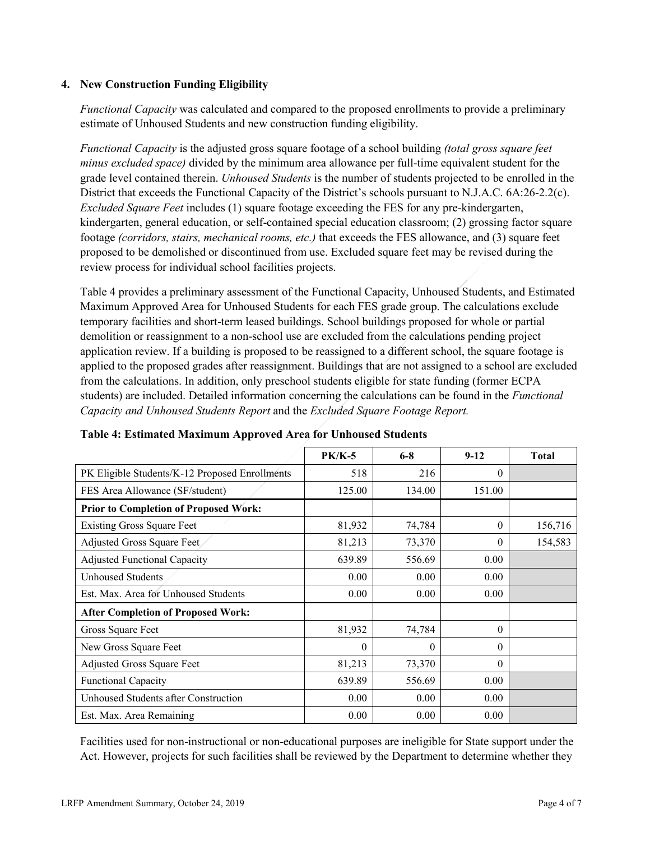#### **4. New Construction Funding Eligibility**

*Functional Capacity* was calculated and compared to the proposed enrollments to provide a preliminary estimate of Unhoused Students and new construction funding eligibility.

*Functional Capacity* is the adjusted gross square footage of a school building *(total gross square feet minus excluded space)* divided by the minimum area allowance per full-time equivalent student for the grade level contained therein. *Unhoused Students* is the number of students projected to be enrolled in the District that exceeds the Functional Capacity of the District's schools pursuant to N.J.A.C. 6A:26-2.2(c). *Excluded Square Feet* includes (1) square footage exceeding the FES for any pre-kindergarten, kindergarten, general education, or self-contained special education classroom; (2) grossing factor square footage *(corridors, stairs, mechanical rooms, etc.)* that exceeds the FES allowance, and (3) square feet proposed to be demolished or discontinued from use. Excluded square feet may be revised during the review process for individual school facilities projects.

Table 4 provides a preliminary assessment of the Functional Capacity, Unhoused Students, and Estimated Maximum Approved Area for Unhoused Students for each FES grade group. The calculations exclude temporary facilities and short-term leased buildings. School buildings proposed for whole or partial demolition or reassignment to a non-school use are excluded from the calculations pending project application review. If a building is proposed to be reassigned to a different school, the square footage is applied to the proposed grades after reassignment. Buildings that are not assigned to a school are excluded from the calculations. In addition, only preschool students eligible for state funding (former ECPA students) are included. Detailed information concerning the calculations can be found in the *Functional Capacity and Unhoused Students Report* and the *Excluded Square Footage Report.*

|                                                | <b>PK/K-5</b> | $6 - 8$  | $9 - 12$ | <b>Total</b> |
|------------------------------------------------|---------------|----------|----------|--------------|
| PK Eligible Students/K-12 Proposed Enrollments | 518           | 216      | $\Omega$ |              |
| FES Area Allowance (SF/student)                | 125.00        | 134.00   | 151.00   |              |
| Prior to Completion of Proposed Work:          |               |          |          |              |
| <b>Existing Gross Square Feet</b>              | 81,932        | 74,784   | $\Omega$ | 156,716      |
| Adjusted Gross Square Feet                     | 81,213        | 73,370   | $\theta$ | 154,583      |
| <b>Adjusted Functional Capacity</b>            | 639.89        | 556.69   | 0.00     |              |
| <b>Unhoused Students</b>                       | 0.00          | 0.00     | 0.00     |              |
| Est. Max. Area for Unhoused Students           | 0.00          | 0.00     | 0.00     |              |
| <b>After Completion of Proposed Work:</b>      |               |          |          |              |
| Gross Square Feet                              | 81,932        | 74,784   | $\Omega$ |              |
| New Gross Square Feet                          | 0             | $\theta$ | $\theta$ |              |
| <b>Adjusted Gross Square Feet</b>              | 81,213        | 73,370   | $\Omega$ |              |
| <b>Functional Capacity</b>                     | 639.89        | 556.69   | 0.00     |              |
| Unhoused Students after Construction           | 0.00          | 0.00     | 0.00     |              |
| Est. Max. Area Remaining                       | 0.00          | 0.00     | 0.00     |              |

#### **Table 4: Estimated Maximum Approved Area for Unhoused Students**

Facilities used for non-instructional or non-educational purposes are ineligible for State support under the Act. However, projects for such facilities shall be reviewed by the Department to determine whether they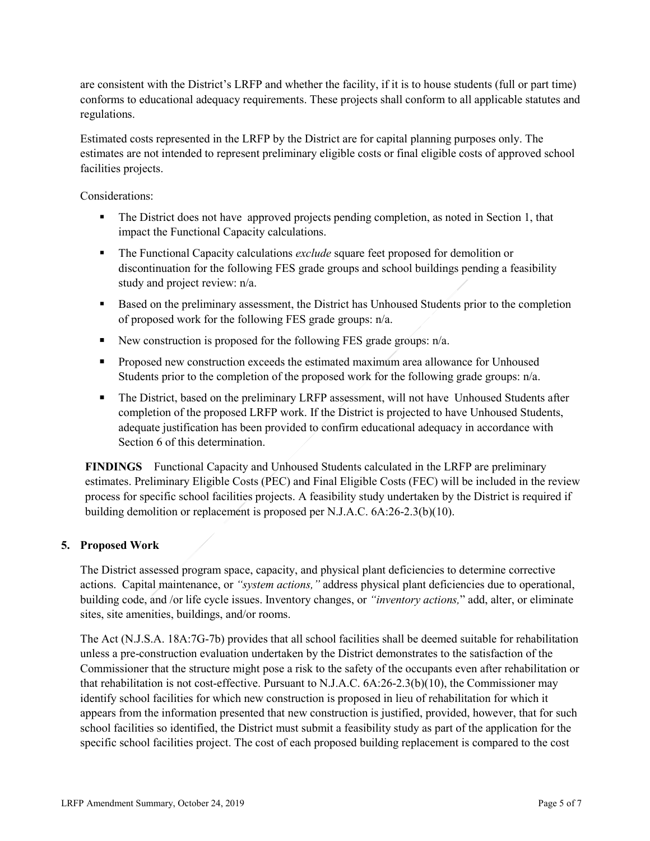are consistent with the District's LRFP and whether the facility, if it is to house students (full or part time) conforms to educational adequacy requirements. These projects shall conform to all applicable statutes and regulations.

Estimated costs represented in the LRFP by the District are for capital planning purposes only. The estimates are not intended to represent preliminary eligible costs or final eligible costs of approved school facilities projects.

Considerations:

- The District does not have approved projects pending completion, as noted in Section 1, that impact the Functional Capacity calculations.
- The Functional Capacity calculations *exclude* square feet proposed for demolition or discontinuation for the following FES grade groups and school buildings pending a feasibility study and project review: n/a.
- Based on the preliminary assessment, the District has Unhoused Students prior to the completion of proposed work for the following FES grade groups: n/a.
- New construction is proposed for the following FES grade groups:  $n/a$ .
- **Proposed new construction exceeds the estimated maximum area allowance for Unhoused** Students prior to the completion of the proposed work for the following grade groups: n/a.
- The District, based on the preliminary LRFP assessment, will not have Unhoused Students after completion of the proposed LRFP work. If the District is projected to have Unhoused Students, adequate justification has been provided to confirm educational adequacy in accordance with Section 6 of this determination.

**FINDINGS** Functional Capacity and Unhoused Students calculated in the LRFP are preliminary estimates. Preliminary Eligible Costs (PEC) and Final Eligible Costs (FEC) will be included in the review process for specific school facilities projects. A feasibility study undertaken by the District is required if building demolition or replacement is proposed per N.J.A.C. 6A:26-2.3(b)(10).

# **5. Proposed Work**

The District assessed program space, capacity, and physical plant deficiencies to determine corrective actions. Capital maintenance, or *"system actions,"* address physical plant deficiencies due to operational, building code, and /or life cycle issues. Inventory changes, or *"inventory actions,*" add, alter, or eliminate sites, site amenities, buildings, and/or rooms.

The Act (N.J.S.A. 18A:7G-7b) provides that all school facilities shall be deemed suitable for rehabilitation unless a pre-construction evaluation undertaken by the District demonstrates to the satisfaction of the Commissioner that the structure might pose a risk to the safety of the occupants even after rehabilitation or that rehabilitation is not cost-effective. Pursuant to N.J.A.C. 6A:26-2.3(b)(10), the Commissioner may identify school facilities for which new construction is proposed in lieu of rehabilitation for which it appears from the information presented that new construction is justified, provided, however, that for such school facilities so identified, the District must submit a feasibility study as part of the application for the specific school facilities project. The cost of each proposed building replacement is compared to the cost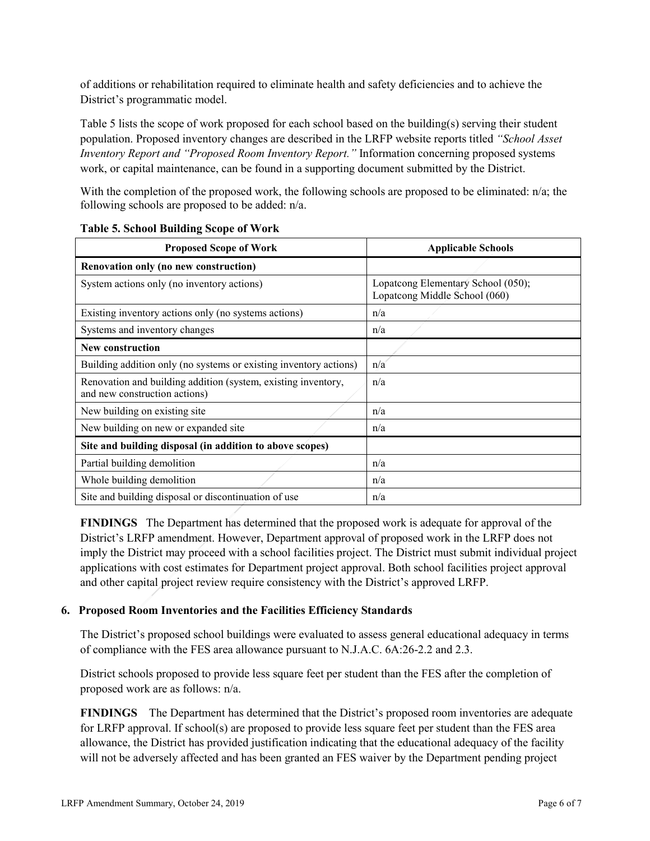of additions or rehabilitation required to eliminate health and safety deficiencies and to achieve the District's programmatic model.

Table 5 lists the scope of work proposed for each school based on the building(s) serving their student population. Proposed inventory changes are described in the LRFP website reports titled *"School Asset Inventory Report and "Proposed Room Inventory Report."* Information concerning proposed systems work, or capital maintenance, can be found in a supporting document submitted by the District.

With the completion of the proposed work, the following schools are proposed to be eliminated: n/a; the following schools are proposed to be added: n/a.

| <b>Proposed Scope of Work</b>                                                                  | <b>Applicable Schools</b>                                           |  |
|------------------------------------------------------------------------------------------------|---------------------------------------------------------------------|--|
| Renovation only (no new construction)                                                          |                                                                     |  |
| System actions only (no inventory actions)                                                     | Lopatcong Elementary School (050);<br>Lopatcong Middle School (060) |  |
| Existing inventory actions only (no systems actions)                                           | n/a                                                                 |  |
| Systems and inventory changes                                                                  | n/a                                                                 |  |
| New construction                                                                               |                                                                     |  |
| Building addition only (no systems or existing inventory actions)                              | n/a                                                                 |  |
| Renovation and building addition (system, existing inventory,<br>and new construction actions) | n/a                                                                 |  |
| New building on existing site                                                                  | n/a                                                                 |  |
| New building on new or expanded site                                                           | n/a                                                                 |  |
| Site and building disposal (in addition to above scopes)                                       |                                                                     |  |
| Partial building demolition                                                                    | n/a                                                                 |  |
| Whole building demolition                                                                      | n/a                                                                 |  |
| Site and building disposal or discontinuation of use                                           | n/a                                                                 |  |

#### **Table 5. School Building Scope of Work**

**FINDINGS** The Department has determined that the proposed work is adequate for approval of the District's LRFP amendment. However, Department approval of proposed work in the LRFP does not imply the District may proceed with a school facilities project. The District must submit individual project applications with cost estimates for Department project approval. Both school facilities project approval and other capital project review require consistency with the District's approved LRFP.

# **6. Proposed Room Inventories and the Facilities Efficiency Standards**

The District's proposed school buildings were evaluated to assess general educational adequacy in terms of compliance with the FES area allowance pursuant to N.J.A.C. 6A:26-2.2 and 2.3.

District schools proposed to provide less square feet per student than the FES after the completion of proposed work are as follows: n/a.

**FINDINGS** The Department has determined that the District's proposed room inventories are adequate for LRFP approval. If school(s) are proposed to provide less square feet per student than the FES area allowance, the District has provided justification indicating that the educational adequacy of the facility will not be adversely affected and has been granted an FES waiver by the Department pending project